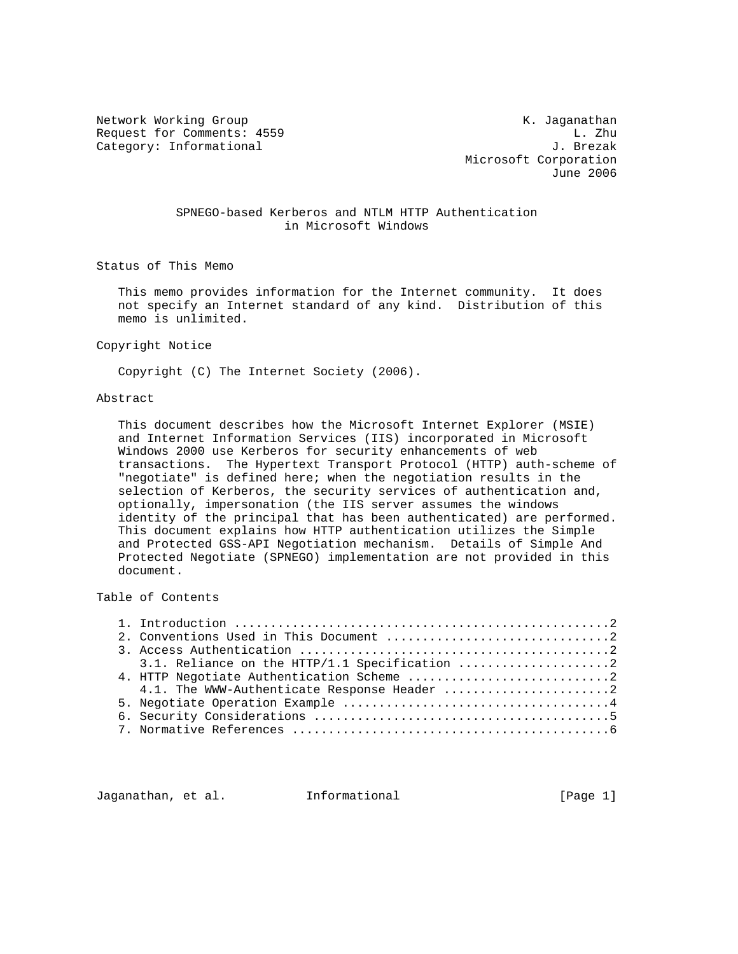Network Working Group<br>Request for Comments: 4559 K. Jaganathan Request for Comments: 4559 L. Zhu<br>Category: Informational distribution of the set of the set of the set of the set of the set of the set of the Category: Informational

 Microsoft Corporation June 2006

## SPNEGO-based Kerberos and NTLM HTTP Authentication in Microsoft Windows

Status of This Memo

 This memo provides information for the Internet community. It does not specify an Internet standard of any kind. Distribution of this memo is unlimited.

#### Copyright Notice

Copyright (C) The Internet Society (2006).

#### Abstract

 This document describes how the Microsoft Internet Explorer (MSIE) and Internet Information Services (IIS) incorporated in Microsoft Windows 2000 use Kerberos for security enhancements of web transactions. The Hypertext Transport Protocol (HTTP) auth-scheme of "negotiate" is defined here; when the negotiation results in the selection of Kerberos, the security services of authentication and, optionally, impersonation (the IIS server assumes the windows identity of the principal that has been authenticated) are performed. This document explains how HTTP authentication utilizes the Simple and Protected GSS-API Negotiation mechanism. Details of Simple And Protected Negotiate (SPNEGO) implementation are not provided in this document.

Table of Contents

|  | 4.1. The WWW-Authenticate Response Header 2 |  |
|--|---------------------------------------------|--|
|  |                                             |  |
|  |                                             |  |
|  |                                             |  |
|  |                                             |  |

Jaganathan, et al. Informational [Page 1]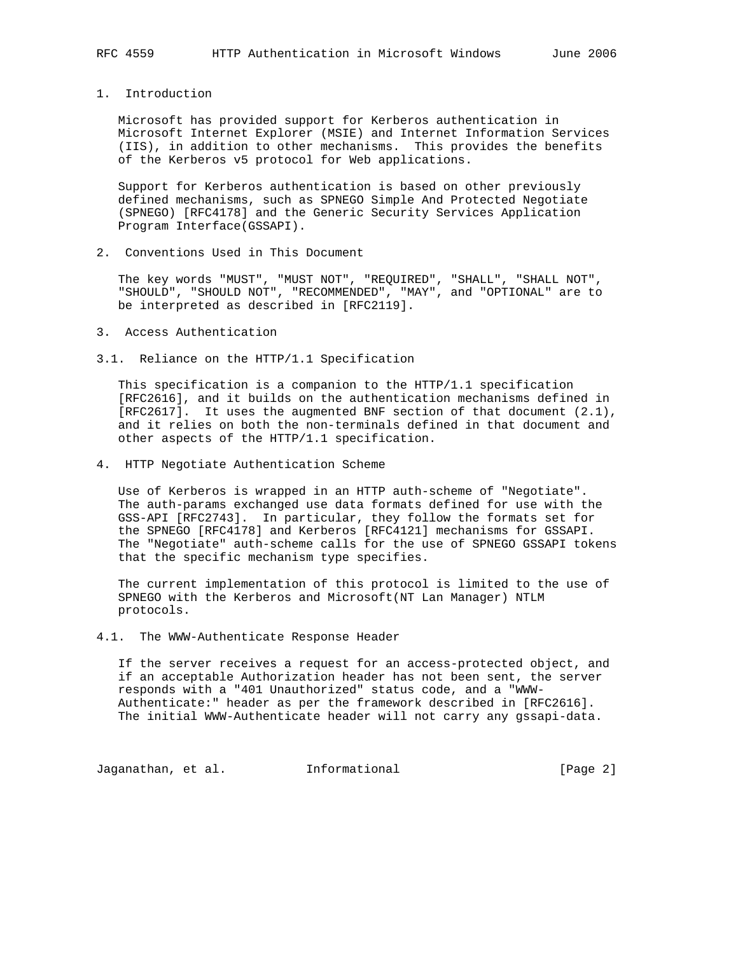# 1. Introduction

 Microsoft has provided support for Kerberos authentication in Microsoft Internet Explorer (MSIE) and Internet Information Services (IIS), in addition to other mechanisms. This provides the benefits of the Kerberos v5 protocol for Web applications.

 Support for Kerberos authentication is based on other previously defined mechanisms, such as SPNEGO Simple And Protected Negotiate (SPNEGO) [RFC4178] and the Generic Security Services Application Program Interface(GSSAPI).

2. Conventions Used in This Document

 The key words "MUST", "MUST NOT", "REQUIRED", "SHALL", "SHALL NOT", "SHOULD", "SHOULD NOT", "RECOMMENDED", "MAY", and "OPTIONAL" are to be interpreted as described in [RFC2119].

- 3. Access Authentication
- 3.1. Reliance on the HTTP/1.1 Specification

 This specification is a companion to the HTTP/1.1 specification [RFC2616], and it builds on the authentication mechanisms defined in [RFC2617]. It uses the augmented BNF section of that document (2.1), and it relies on both the non-terminals defined in that document and other aspects of the HTTP/1.1 specification.

4. HTTP Negotiate Authentication Scheme

 Use of Kerberos is wrapped in an HTTP auth-scheme of "Negotiate". The auth-params exchanged use data formats defined for use with the GSS-API [RFC2743]. In particular, they follow the formats set for the SPNEGO [RFC4178] and Kerberos [RFC4121] mechanisms for GSSAPI. The "Negotiate" auth-scheme calls for the use of SPNEGO GSSAPI tokens that the specific mechanism type specifies.

 The current implementation of this protocol is limited to the use of SPNEGO with the Kerberos and Microsoft(NT Lan Manager) NTLM protocols.

4.1. The WWW-Authenticate Response Header

 If the server receives a request for an access-protected object, and if an acceptable Authorization header has not been sent, the server responds with a "401 Unauthorized" status code, and a "WWW- Authenticate:" header as per the framework described in [RFC2616]. The initial WWW-Authenticate header will not carry any gssapi-data.

Jaganathan, et al. 1nformational 1999 [Page 2]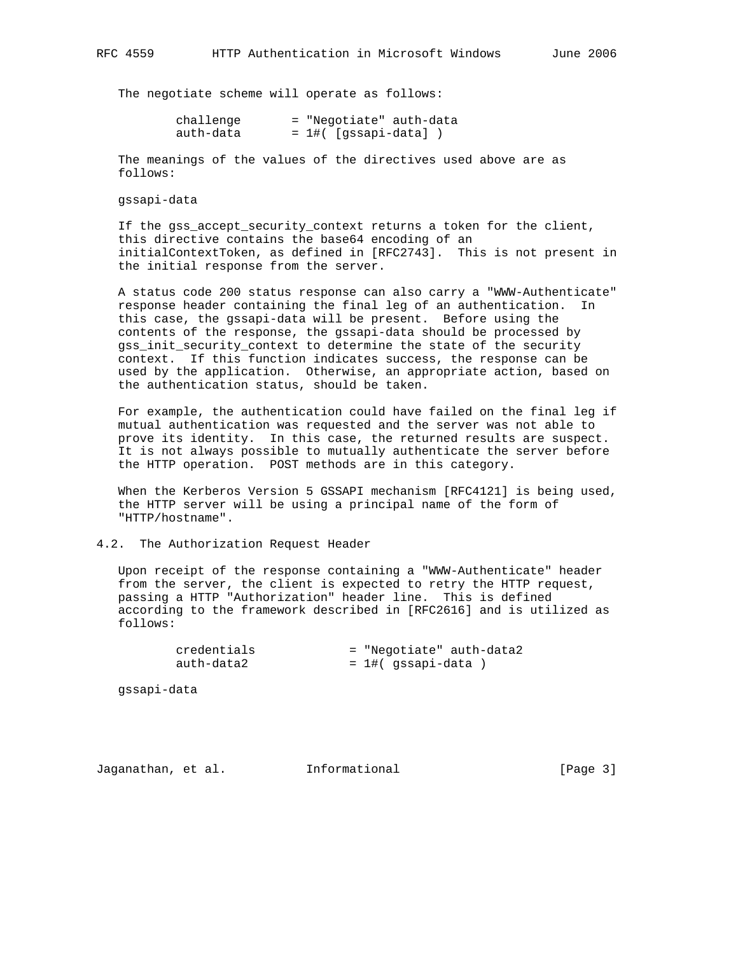The negotiate scheme will operate as follows:

| challenge |  |                          | = "Negotiate" auth-data |
|-----------|--|--------------------------|-------------------------|
| auth-data |  | $= 1$ #( [qssapi-data] ) |                         |

 The meanings of the values of the directives used above are as follows:

gssapi-data

 If the gss\_accept\_security\_context returns a token for the client, this directive contains the base64 encoding of an initialContextToken, as defined in [RFC2743]. This is not present in the initial response from the server.

 A status code 200 status response can also carry a "WWW-Authenticate" response header containing the final leg of an authentication. In this case, the gssapi-data will be present. Before using the contents of the response, the gssapi-data should be processed by gss\_init\_security\_context to determine the state of the security context. If this function indicates success, the response can be used by the application. Otherwise, an appropriate action, based on the authentication status, should be taken.

 For example, the authentication could have failed on the final leg if mutual authentication was requested and the server was not able to prove its identity. In this case, the returned results are suspect. It is not always possible to mutually authenticate the server before the HTTP operation. POST methods are in this category.

 When the Kerberos Version 5 GSSAPI mechanism [RFC4121] is being used, the HTTP server will be using a principal name of the form of "HTTP/hostname".

### 4.2. The Authorization Request Header

 Upon receipt of the response containing a "WWW-Authenticate" header from the server, the client is expected to retry the HTTP request, passing a HTTP "Authorization" header line. This is defined according to the framework described in [RFC2616] and is utilized as follows:

| credentials | = "Negotiate" auth-data2 |
|-------------|--------------------------|
| auth-data2  | $= 1$ #( qssapi-data )   |

gssapi-data

Jaganathan, et al. Informational [Page 3]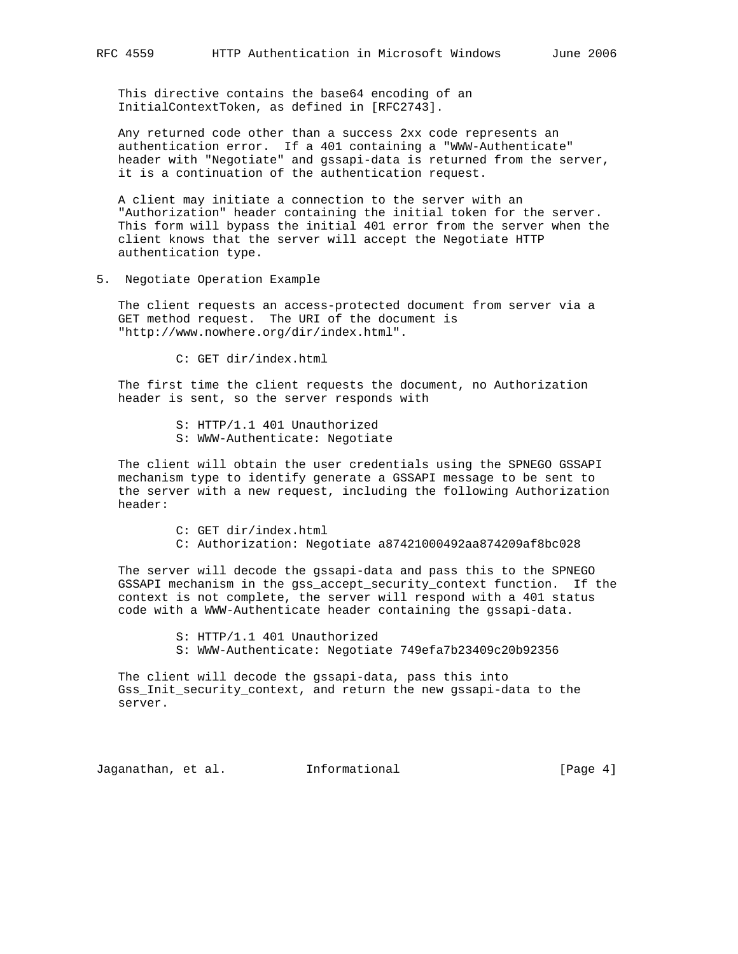This directive contains the base64 encoding of an InitialContextToken, as defined in [RFC2743].

 Any returned code other than a success 2xx code represents an authentication error. If a 401 containing a "WWW-Authenticate" header with "Negotiate" and gssapi-data is returned from the server, it is a continuation of the authentication request.

 A client may initiate a connection to the server with an "Authorization" header containing the initial token for the server. This form will bypass the initial 401 error from the server when the client knows that the server will accept the Negotiate HTTP authentication type.

5. Negotiate Operation Example

 The client requests an access-protected document from server via a GET method request. The URI of the document is "http://www.nowhere.org/dir/index.html".

C: GET dir/index.html

 The first time the client requests the document, no Authorization header is sent, so the server responds with

- S: HTTP/1.1 401 Unauthorized S: WWW-Authenticate: Negotiate
- The client will obtain the user credentials using the SPNEGO GSSAPI mechanism type to identify generate a GSSAPI message to be sent to the server with a new request, including the following Authorization header:
	- C: GET dir/index.html
	- C: Authorization: Negotiate a87421000492aa874209af8bc028

 The server will decode the gssapi-data and pass this to the SPNEGO GSSAPI mechanism in the gss\_accept\_security\_context function. If the context is not complete, the server will respond with a 401 status code with a WWW-Authenticate header containing the gssapi-data.

S: HTTP/1.1 401 Unauthorized

S: WWW-Authenticate: Negotiate 749efa7b23409c20b92356

 The client will decode the gssapi-data, pass this into Gss\_Init\_security\_context, and return the new gssapi-data to the server.

Jaganathan, et al. Informational [Page 4]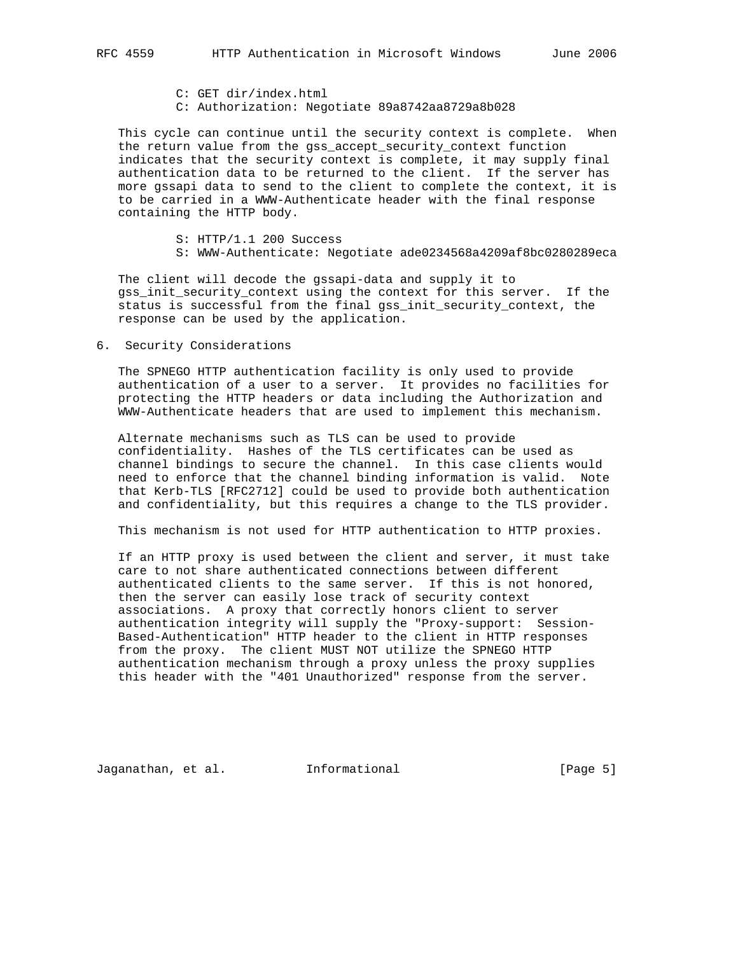- C: GET dir/index.html
- C: Authorization: Negotiate 89a8742aa8729a8b028

 This cycle can continue until the security context is complete. When the return value from the gss\_accept\_security\_context function indicates that the security context is complete, it may supply final authentication data to be returned to the client. If the server has more gssapi data to send to the client to complete the context, it is to be carried in a WWW-Authenticate header with the final response containing the HTTP body.

- S: HTTP/1.1 200 Success
- S: WWW-Authenticate: Negotiate ade0234568a4209af8bc0280289eca

 The client will decode the gssapi-data and supply it to gss\_init\_security\_context using the context for this server. If the status is successful from the final gss\_init\_security\_context, the response can be used by the application.

6. Security Considerations

 The SPNEGO HTTP authentication facility is only used to provide authentication of a user to a server. It provides no facilities for protecting the HTTP headers or data including the Authorization and WWW-Authenticate headers that are used to implement this mechanism.

 Alternate mechanisms such as TLS can be used to provide confidentiality. Hashes of the TLS certificates can be used as channel bindings to secure the channel. In this case clients would need to enforce that the channel binding information is valid. Note that Kerb-TLS [RFC2712] could be used to provide both authentication and confidentiality, but this requires a change to the TLS provider.

This mechanism is not used for HTTP authentication to HTTP proxies.

 If an HTTP proxy is used between the client and server, it must take care to not share authenticated connections between different authenticated clients to the same server. If this is not honored, then the server can easily lose track of security context associations. A proxy that correctly honors client to server authentication integrity will supply the "Proxy-support: Session- Based-Authentication" HTTP header to the client in HTTP responses from the proxy. The client MUST NOT utilize the SPNEGO HTTP authentication mechanism through a proxy unless the proxy supplies this header with the "401 Unauthorized" response from the server.

Jaganathan, et al. Informational [Page 5]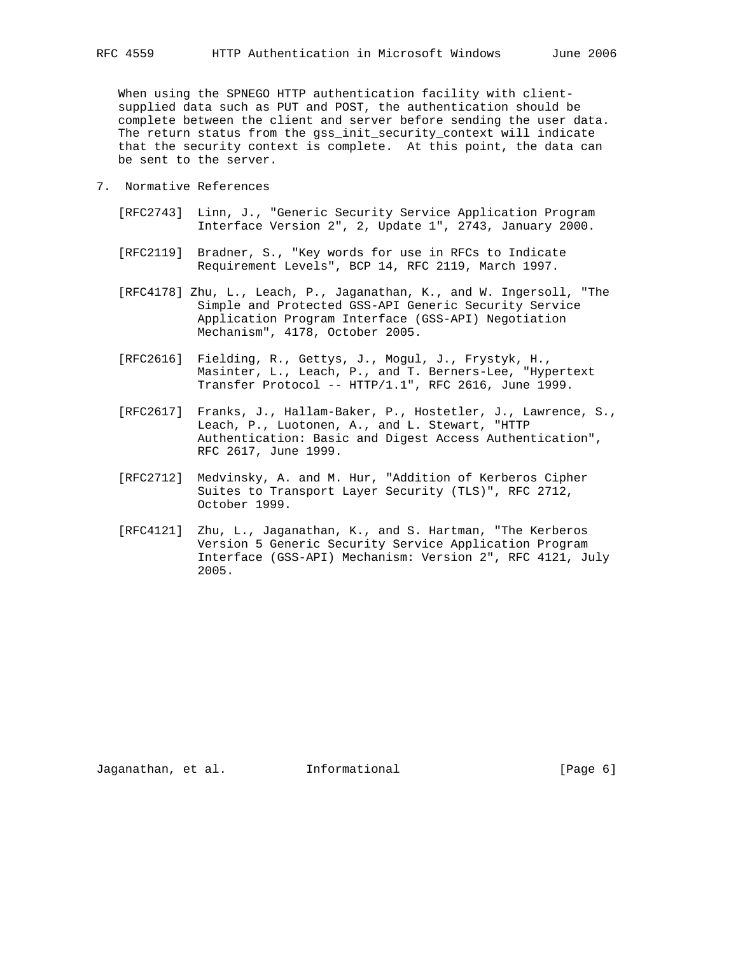When using the SPNEGO HTTP authentication facility with client supplied data such as PUT and POST, the authentication should be complete between the client and server before sending the user data. The return status from the gss init security context will indicate that the security context is complete. At this point, the data can be sent to the server.

- 7. Normative References
	- [RFC2743] Linn, J., "Generic Security Service Application Program Interface Version 2", 2, Update 1", 2743, January 2000.
	- [RFC2119] Bradner, S., "Key words for use in RFCs to Indicate Requirement Levels", BCP 14, RFC 2119, March 1997.
	- [RFC4178] Zhu, L., Leach, P., Jaganathan, K., and W. Ingersoll, "The Simple and Protected GSS-API Generic Security Service Application Program Interface (GSS-API) Negotiation Mechanism", 4178, October 2005.
	- [RFC2616] Fielding, R., Gettys, J., Mogul, J., Frystyk, H., Masinter, L., Leach, P., and T. Berners-Lee, "Hypertext Transfer Protocol -- HTTP/1.1", RFC 2616, June 1999.
	- [RFC2617] Franks, J., Hallam-Baker, P., Hostetler, J., Lawrence, S., Leach, P., Luotonen, A., and L. Stewart, "HTTP Authentication: Basic and Digest Access Authentication", RFC 2617, June 1999.
	- [RFC2712] Medvinsky, A. and M. Hur, "Addition of Kerberos Cipher Suites to Transport Layer Security (TLS)", RFC 2712, October 1999.
	- [RFC4121] Zhu, L., Jaganathan, K., and S. Hartman, "The Kerberos Version 5 Generic Security Service Application Program Interface (GSS-API) Mechanism: Version 2", RFC 4121, July 2005.

Jaganathan, et al. Informational [Page 6]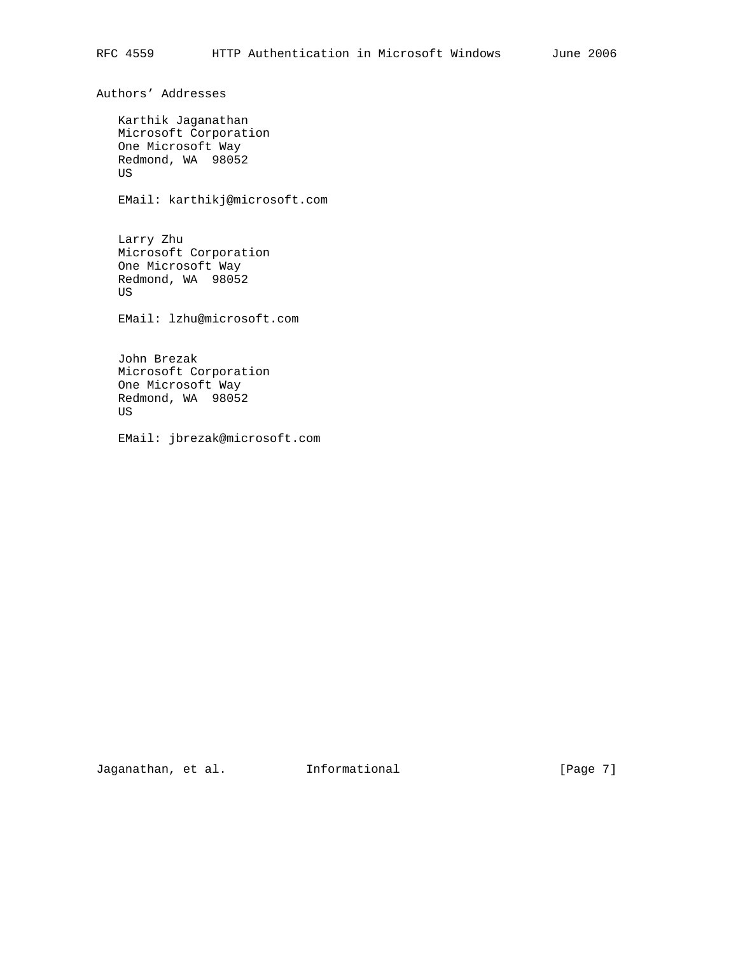Authors' Addresses

 Karthik Jaganathan Microsoft Corporation One Microsoft Way Redmond, WA 98052 US

EMail: karthikj@microsoft.com

 Larry Zhu Microsoft Corporation One Microsoft Way Redmond, WA 98052 US

EMail: lzhu@microsoft.com

 John Brezak Microsoft Corporation One Microsoft Way Redmond, WA 98052 US

EMail: jbrezak@microsoft.com

Jaganathan, et al. 1nformational 1999 [Page 7]